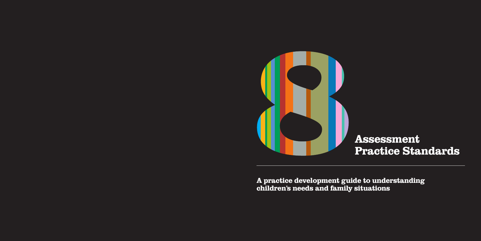

A practice development guide to understanding children's needs and family situations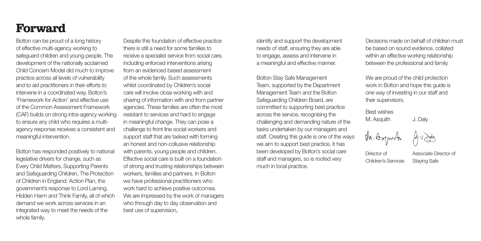### Forward

Bolton can be proud of a long history of effective multi-agency working to safeguard children and young people. The development of the nationally acclaimed Child Concern Model did much to improve practice across all levels of vulnerability and to aid practitioners in their efforts to intervene in a coordinated way. Bolton's 'Framework for Action' and effective use of the Common Assessment Framework (CAF) builds on strong intra-agency working to ensure any child who requires a multiagency response receives a consistent and meaningful intervention.

Bolton has responded positively to national legislative drivers for change, such as Every Child Matters, Supporting Parents and Safeguarding Children, The Protection of Children in England: Action Plan, the government's response to Lord Laming, Hidden Harm and Think Family, all of which demand we work across services in an integrated way to meet the needs of the whole family.

Despite this foundation of effective practice there is still a need for some families to receive a specialist service from social care, including enforced interventions arising from an evidenced based assessment of the whole family. Such assessments whilst coordinated by Children's social care will involve close working with and sharing of information with and from partner agencies. These families are often the most resistant to services and hard to engage in meaningful change. They can pose a challenge to front line social workers and support staff that are tasked with forming an honest and non-collusive relationship with parents, young people and children. Effective social care is built on a foundation of strong and trusting relationships between workers, families and partners. In Bolton we have professional practitioners who work hard to achieve positive outcomes. We are impressed by the work of managers who through day to day observation and best use of supervision,

identify and support the development needs of staff, ensuring they are able to engage, assess and intervene in a meaningful and effective manner.

Bolton Stay Safe Management Team, supported by the Department Management Team and the Bolton Safeguarding Children Board, are committed to supporting best practice across the service, recognising the challenging and demanding nature of the tasks undertaken by our managers and staff. Creating this guide is one of the ways we aim to support best practice. It has been developed by Bolton's social care staff and managers, so is rooted very much in local practice.

Decisions made on behalf of children must be based on sound evidence, collated within an effective working relationship between the professional and family.

We are proud of the child protection work in Bolton and hope this guide is one way of investing in our staff and their supervisors.

Best wishes M. Asquith J. Daly



Director of Associate Director of Children's Services Staying Safe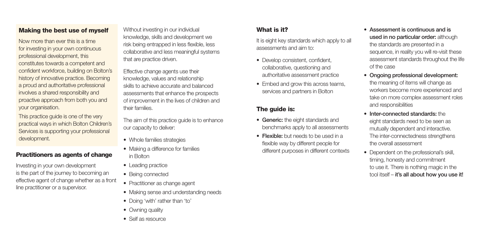### Making the best use of myself

Now more than ever this is a time for investing in your own continuous professional development, this constitutes towards a competent and confident workforce, building on Bolton's history of innovative practice. Becoming a proud and authoritative professional involves a shared responsibility and proactive approach from both you and your organisation.

This practice guide is one of the very practical ways in which Bolton Children's Services is supporting your professional development.

#### Practitioners as agents of change

Investing in your own development is the part of the journey to becoming an effective agent of change whether as a front line practitioner or a supervisor.

Without investing in our individual knowledge, skills and development we risk being entrapped in less flexible, less collaborative and less meaningful systems that are practice driven.

Effective change agents use their knowledge, values and relationship skills to achieve accurate and balanced assessments that enhance the prospects of improvement in the lives of children and their families.

The aim of this practice guide is to enhance our capacity to deliver:

- Whole families strategies
- Making a difference for families in Bolton
- Leading practice
- Being connected
- Practitioner as change agent
- Making sense and understanding needs
- Doing 'with' rather than 'to'
- Owning quality
- Self as resource

### What is it?

It is eight key standards which apply to all assessments and aim to:

- Develop consistent, confident, collaborative, questioning and authoritative assessment practice
- Embed and grow this across teams, services and partners in Bolton

### The guide is:

- Generic: the eight standards and benchmarks apply to all assessments
- Flexible: but needs to be used in a flexible way by different people for different purposes in different contexts
- • Assessment is continuous and is used in no particular order: although the standards are presented in a sequence, in reality you will re-visit these assessment standards throughout the life of the case
- • Ongoing professional development: the meaning of items will change as workers become more experienced and take on more complex assessment roles and responsibilities
- Inter-connected standards: the eight standards need to be seen as mutually dependent and interactive. The inter-connectedness strengthens the overall assessment
- Dependent on the professional's skill, timing, honesty and commitment to use it. There is nothing magic in the tool itself – it's all about how you use it!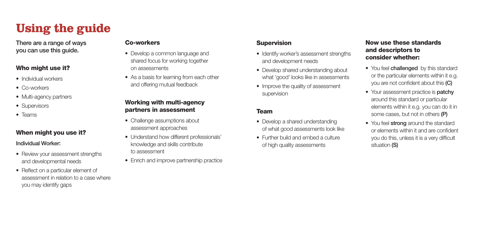### Using the guide

There are a range of ways you can use this guide.

#### Who might use it?

- • Individual workers
- Co-workers
- Multi-agency partners
- Supervisors
- • Teams

### When might you use it?

Individual Worker:

- Review your assessment strengths and developmental needs
- Reflect on a particular element of assessment in relation to a case where you may identify gaps

#### Co-workers

- Develop a common language and shared focus for working together on assessments
- As a basis for learning from each other and offering mutual feedback

### Working with multi-agency partners in assessment

- Challenge assumptions about assessment approaches
- Understand how different professionals' knowledge and skills contribute to assessment
- Enrich and improve partnership practice

### **Supervision**

- Identify worker's assessment strengths and development needs
- Develop shared understanding about what 'good' looks like in assessments
- Improve the quality of assessment supervision

### Team

- Develop a shared understanding of what good assessments look like
- Further build and embed a culture of high quality assessments

### Now use these standards and descriptors to consider whether:

- You feel **challenged** by this standard or the particular elements within it e.g. you are not confident about this (C)
- Your assessment practice is **patchy** around this standard or particular elements within it e.g. you can do it in some cases, but not in others (P)
- You feel strong around the standard or elements within it and are confident you do this, unless it is a very difficult situation (S)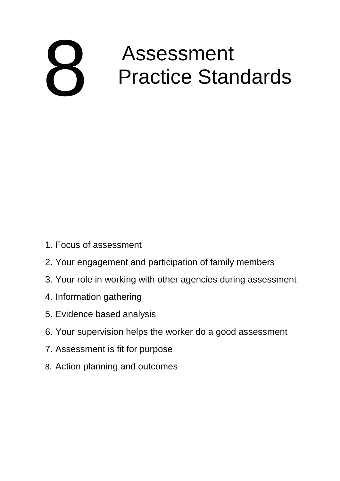# Assessment Practice Standards 1 Focus of assessment 8

- 1. Focus of assessment
- 2. Your engagement and participation of family members
- 3. Your role in working with other agencies during assessment
- 4. Information gathering
- 5. Evidence based analysis
- 6. Your supervision helps the worker do a good assessment
- 7. Assessment is fit for purpose
- 8. Action planning and outcomes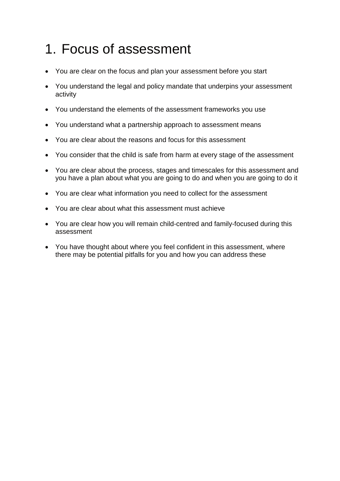# 1. Focus of assessment

- You are clear on the focus and plan your assessment before you start
- You understand the legal and policy mandate that underpins your assessment activity
- You understand the elements of the assessment frameworks you use
- You understand what a partnership approach to assessment means
- You are clear about the reasons and focus for this assessment
- You consider that the child is safe from harm at every stage of the assessment
- You are clear about the process, stages and timescales for this assessment and you have a plan about what you are going to do and when you are going to do it
- You are clear what information you need to collect for the assessment
- You are clear about what this assessment must achieve
- You are clear how you will remain child-centred and family-focused during this assessment
- You have thought about where you feel confident in this assessment, where there may be potential pitfalls for you and how you can address these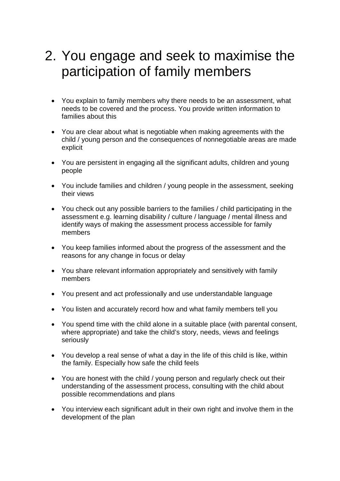# 2. You engage and seek to maximise the participation of family members

- You explain to family members why there needs to be an assessment, what needs to be covered and the process. You provide written information to families about this
- You are clear about what is negotiable when making agreements with the child / young person and the consequences of nonnegotiable areas are made explicit
- You are persistent in engaging all the significant adults, children and young people
- You include families and children / young people in the assessment, seeking their views
- You check out any possible barriers to the families / child participating in the assessment e.g. learning disability / culture / language / mental illness and identify ways of making the assessment process accessible for family members
- You keep families informed about the progress of the assessment and the reasons for any change in focus or delay
- You share relevant information appropriately and sensitively with family members
- You present and act professionally and use understandable language
- You listen and accurately record how and what family members tell you
- You spend time with the child alone in a suitable place (with parental consent, where appropriate) and take the child's story, needs, views and feelings seriously
- You develop a real sense of what a day in the life of this child is like, within the family. Especially how safe the child feels
- You are honest with the child / young person and regularly check out their understanding of the assessment process, consulting with the child about possible recommendations and plans
- You interview each significant adult in their own right and involve them in the development of the plan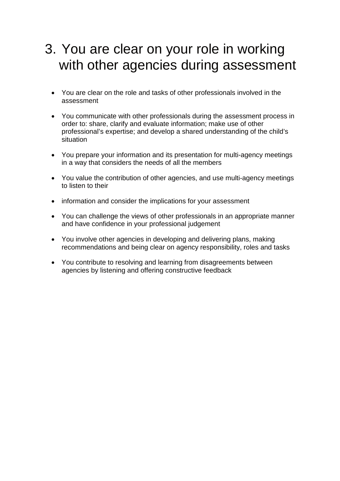### 3. You are clear on your role in working with other agencies during assessment

- You are clear on the role and tasks of other professionals involved in the assessment
- You communicate with other professionals during the assessment process in order to: share, clarify and evaluate information; make use of other professional's expertise; and develop a shared understanding of the child's situation
- You prepare your information and its presentation for multi-agency meetings in a way that considers the needs of all the members
- You value the contribution of other agencies, and use multi-agency meetings to listen to their
- information and consider the implications for your assessment
- You can challenge the views of other professionals in an appropriate manner and have confidence in your professional judgement
- You involve other agencies in developing and delivering plans, making recommendations and being clear on agency responsibility, roles and tasks
- You contribute to resolving and learning from disagreements between agencies by listening and offering constructive feedback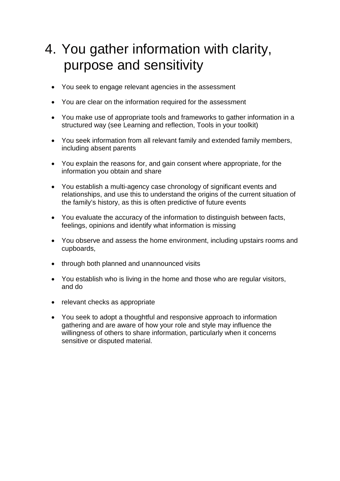# 4. You gather information with clarity, purpose and sensitivity

- You seek to engage relevant agencies in the assessment
- You are clear on the information required for the assessment
- You make use of appropriate tools and frameworks to gather information in a structured way (see Learning and reflection, Tools in your toolkit)
- You seek information from all relevant family and extended family members, including absent parents
- You explain the reasons for, and gain consent where appropriate, for the information you obtain and share
- You establish a multi-agency case chronology of significant events and relationships, and use this to understand the origins of the current situation of the family's history, as this is often predictive of future events
- You evaluate the accuracy of the information to distinguish between facts, feelings, opinions and identify what information is missing
- You observe and assess the home environment, including upstairs rooms and cupboards,
- through both planned and unannounced visits
- You establish who is living in the home and those who are regular visitors, and do
- relevant checks as appropriate
- You seek to adopt a thoughtful and responsive approach to information gathering and are aware of how your role and style may influence the willingness of others to share information, particularly when it concerns sensitive or disputed material.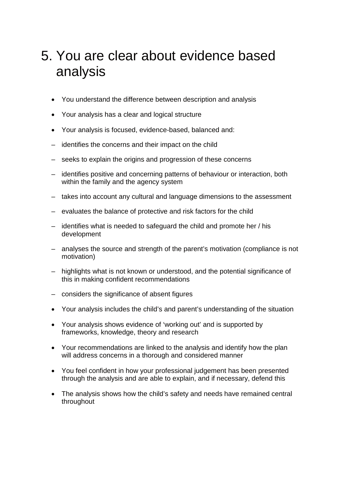# 5. You are clear about evidence based analysis

- You understand the difference between description and analysis
- Your analysis has a clear and logical structure
- Your analysis is focused, evidence-based, balanced and:
- identifies the concerns and their impact on the child
- seeks to explain the origins and progression of these concerns
- identifies positive and concerning patterns of behaviour or interaction, both within the family and the agency system
- takes into account any cultural and language dimensions to the assessment
- evaluates the balance of protective and risk factors for the child
- identifies what is needed to safeguard the child and promote her / his development
- analyses the source and strength of the parent's motivation (compliance is not motivation)
- highlights what is not known or understood, and the potential significance of this in making confident recommendations
- considers the significance of absent figures
- Your analysis includes the child's and parent's understanding of the situation
- Your analysis shows evidence of 'working out' and is supported by frameworks, knowledge, theory and research
- Your recommendations are linked to the analysis and identify how the plan will address concerns in a thorough and considered manner
- You feel confident in how your professional judgement has been presented through the analysis and are able to explain, and if necessary, defend this
- The analysis shows how the child's safety and needs have remained central throughout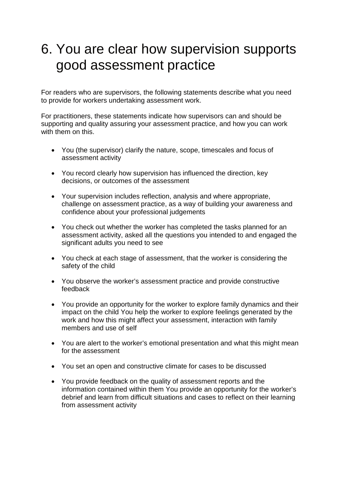## 6. You are clear how supervision supports good assessment practice

For readers who are supervisors, the following statements describe what you need to provide for workers undertaking assessment work.

For practitioners, these statements indicate how supervisors can and should be supporting and quality assuring your assessment practice, and how you can work with them on this.

- You (the supervisor) clarify the nature, scope, timescales and focus of assessment activity
- You record clearly how supervision has influenced the direction, key decisions, or outcomes of the assessment
- Your supervision includes reflection, analysis and where appropriate, challenge on assessment practice, as a way of building your awareness and confidence about your professional judgements
- You check out whether the worker has completed the tasks planned for an assessment activity, asked all the questions you intended to and engaged the significant adults you need to see
- You check at each stage of assessment, that the worker is considering the safety of the child
- You observe the worker's assessment practice and provide constructive feedback
- You provide an opportunity for the worker to explore family dynamics and their impact on the child You help the worker to explore feelings generated by the work and how this might affect your assessment, interaction with family members and use of self
- You are alert to the worker's emotional presentation and what this might mean for the assessment
- You set an open and constructive climate for cases to be discussed
- You provide feedback on the quality of assessment reports and the information contained within them You provide an opportunity for the worker's debrief and learn from difficult situations and cases to reflect on their learning from assessment activity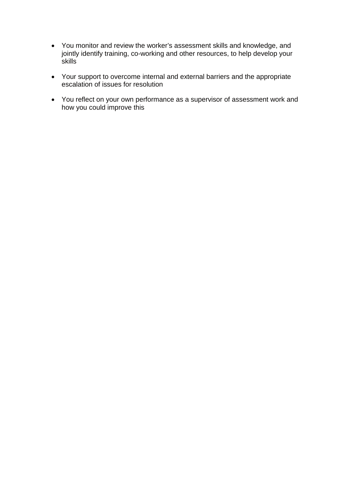- You monitor and review the worker's assessment skills and knowledge, and jointly identify training, co-working and other resources, to help develop your **skills**
- Your support to overcome internal and external barriers and the appropriate escalation of issues for resolution
- You reflect on your own performance as a supervisor of assessment work and how you could improve this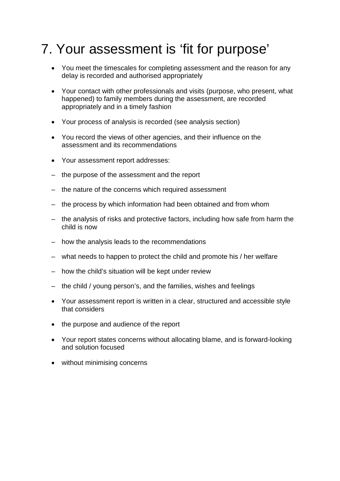# 7. Your assessment is 'fit for purpose'

- You meet the timescales for completing assessment and the reason for any delay is recorded and authorised appropriately
- Your contact with other professionals and visits (purpose, who present, what happened) to family members during the assessment, are recorded appropriately and in a timely fashion
- Your process of analysis is recorded (see analysis section)
- You record the views of other agencies, and their influence on the assessment and its recommendations
- Your assessment report addresses:
- the purpose of the assessment and the report
- the nature of the concerns which required assessment
- the process by which information had been obtained and from whom
- the analysis of risks and protective factors, including how safe from harm the child is now
- how the analysis leads to the recommendations
- what needs to happen to protect the child and promote his / her welfare
- how the child's situation will be kept under review
- the child / young person's, and the families, wishes and feelings
- Your assessment report is written in a clear, structured and accessible style that considers
- the purpose and audience of the report
- Your report states concerns without allocating blame, and is forward-looking and solution focused
- without minimising concerns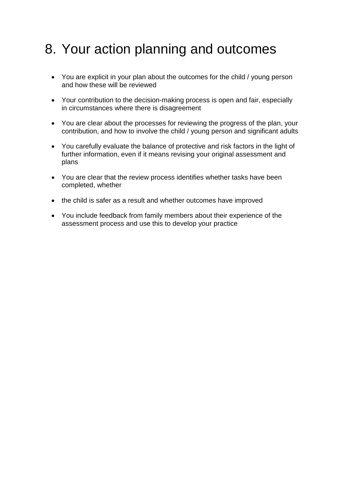# 8. Your action planning and outcomes

- You are explicit in your plan about the outcomes for the child / young person and how these will be reviewed
- Your contribution to the decision-making process is open and fair, especially in circumstances where there is disagreement
- You are clear about the processes for reviewing the progress of the plan, your contribution, and how to involve the child / young person and significant adults
- You carefully evaluate the balance of protective and risk factors in the light of further information, even if it means revising your original assessment and plans
- You are clear that the review process identifies whether tasks have been completed, whether
- the child is safer as a result and whether outcomes have improved
- You include feedback from family members about their experience of the assessment process and use this to develop your practice